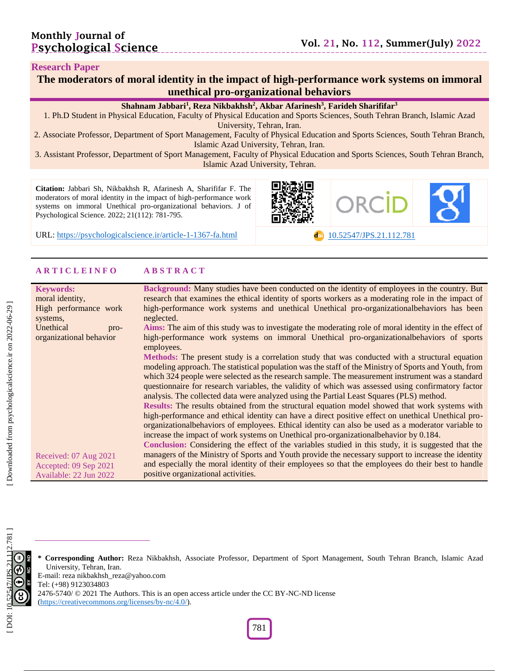#### **Research Paper**

| The moderators of moral identity in the impact of high-performance work systems on immoral |
|--------------------------------------------------------------------------------------------|
| unethical pro-organizational behaviors                                                     |

#### **Shahnam Jabbari 1 , Reza Nikbakhsh 2 , Akbar Afarinesh 3 , Farideh Sharififar 3**

1. Ph .D Student in Physical Education, Faculty of Physical Education and Sports Sciences , South Tehran Branch, Islamic Azad University, Tehran, Iran.

2. Associate Professor, Department of Sport Management, Faculty of Physical Education and Sports Sciences, South Tehran Branch, Islamic Azad University, Tehran, Iran.

3. Assistant Professor, Department of Sport Management, Faculty of Physical Education and Sports Sciences, South Tehran Branch, Islamic Azad University, Tehran.

**Citation:** Jabbari S h, Nikbakhsh R, Afarinesh A, Sharififar F. The moderators of moral identity in the impact of high -performance work systems on immoral Unethical pro -organizational behaviors. J of Psychological Science. 2022; 21(1 1 2): 781 -795 .

URL: [https://psychologicalscience.ir/article](https://psychologicalscience.ir/article-1-1367-fa.html)-1-1367



**example [10.52547/JPS.21.11](https://psychologicalscience.ir/article-1-1367-fa.html)2.781** 

#### **A R T I C L E I N F O A B S T R A C T**

| <b>Keywords:</b>                      | Background: Many studies have been conducted on the identity of employees in the country. But         |
|---------------------------------------|-------------------------------------------------------------------------------------------------------|
| moral identity,                       | research that examines the ethical identity of sports workers as a moderating role in the impact of   |
| High performance work                 | high-performance work systems and unethical Unethical pro-organizationalbehaviors has been            |
|                                       |                                                                                                       |
| neglected.<br>systems,                |                                                                                                       |
| Unethical<br>pro-                     | Aims: The aim of this study was to investigate the moderating role of moral identity in the effect of |
| organizational behavior<br>employees. | high-performance work systems on immoral Unethical pro-organizationalbehaviors of sports              |
|                                       | Methods: The present study is a correlation study that was conducted with a structural equation       |
|                                       | modeling approach. The statistical population was the staff of the Ministry of Sports and Youth, from |
|                                       | which 324 people were selected as the research sample. The measurement instrument was a standard      |
|                                       |                                                                                                       |
|                                       | questionnaire for research variables, the validity of which was assessed using confirmatory factor    |
|                                       | analysis. The collected data were analyzed using the Partial Least Squares (PLS) method.              |
|                                       | Results: The results obtained from the structural equation model showed that work systems with        |
|                                       | high-performance and ethical identity can have a direct positive effect on unethical Unethical pro-   |
|                                       | organizational behaviors of employees. Ethical identity can also be used as a moderator variable to   |
|                                       |                                                                                                       |
|                                       | increase the impact of work systems on Unethical pro-organizational behavior by 0.184.                |
|                                       | Conclusion: Considering the effect of the variables studied in this study, it is suggested that the   |
| Received: 07 Aug 2021                 | managers of the Ministry of Sports and Youth provide the necessary support to increase the identity   |
| Accepted: 09 Sep 2021                 | and especially the moral identity of their employees so that the employees do their best to handle    |
| Available: 22 Jun 2022                | positive organizational activities.                                                                   |
|                                       |                                                                                                       |

**\* Corresponding Author:** Reza Nikbakhsh , Associate Professor, Department of Sport Management, South Tehran Branch, Islamic Azad University, Tehran, Iran. E -mail: reza nikbakhsh\_reza@yahoo.com

Tel: (+98) 9123034803

2476-5740/ © 2021 The Authors. This is an open access article under the CC BY-NC-ND license

[\(https://creativecommons.org/licenses/by](https://creativecommons.org/licenses/by-nc/4.0/) -nc/4.0/).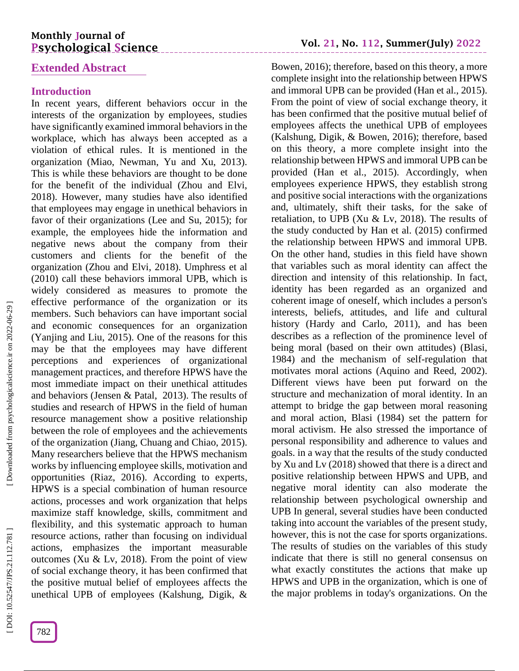#### **Extended Abstract**

#### **Introduction**

In recent years, different behaviors occur in the interests of the organization by employees, studies have significantly examined immoral behaviors in the workplace, which has always been accepted as a violation of ethical rules. It is mentioned in the organization (Miao, Newman, Yu and Xu, 2013). This is while these behaviors are thought to be done for the benefit of the individual (Zhou and Elvi, 2018). However, many studies have also identified that employees may engage in unethical behaviors in favor of their organizations (Lee and Su, 2015); for example, the employees hide the information and negative news about the company from their customers and clients for the benefit of the organization (Zhou and Elvi, 2018). Umphress et al (2010) call these behaviors immoral UPB, which is widely considered as measures to promote the effective performance of the organization or its members. Such behaviors can have important social and economic consequences for an organization (Yanjing and Liu, 2015). One of the reasons for this may be that the employees may have different perceptions and experiences of organizational management practices, and therefore HPWS have the most immediate impact on their unethical attitudes and behaviors (Jensen & Patal, 2013). The results of studies and research of HPWS in the field of human resource management show a positive relationship between the role of employees and the achievements of the organization (Jiang, Chuang and Chiao, 2015). Many researchers believe that the HPWS mechanism works by influencing employee skills, motivation and opportunities (Riaz, 2016). According to experts, HPWS is a special combination of human resource actions, processes and work organization that helps maximize staff knowledge, skills, commitment and flexibility, and this systematic approach to human resource actions, rather than focusing on individual actions, emphasizes the important measurable outcomes (Xu  $& Lv, 2018$ ). From the point of view of social exchange theory, it has been confirmed that the positive mutual belief of employees affects the unethical UPB of employees (Kalshung, Digik, &

Bowen, 2016); therefore, based on this theory, a more complete insight into the relationship between HPWS and immoral UPB can be provided (Han et al., 2015). From the point of view of social exchange theory, it has been confirmed that the positive mutual belief of employees affects the unethical UPB of employees (Kalshung, Digik, & Bowen, 2016); therefore, based on this theory, a more complete insight into the relationship between HPWS and immoral UPB can be provided (Han et al., 2015). Accordingly, when employees experience HPWS, they establish strong and positive social interactions with the organizations and, ultimately, shift their tasks, for the sake of retaliation, to UPB (Xu  $& Lv, 2018$ ). The results of the study conducted by Han et al. (2015) confirmed the relationship between HPWS and immoral UPB. On the other hand, studies in this field have shown that variables such as moral identity can affect the direction and intensity of this relationship. In fact, identity has been regarded as an organized and coherent image of oneself, which includes a person's interests, beliefs, attitudes, and life and cultural history (Hardy and Carlo, 2011), and has been describes as a reflection of the prominence level of being moral (based on their own attitudes) (Blasi, 1984) and the mechanism of self-regulation that motivates moral actions (Aquino and Reed, 2002). Different views have been put forward on the structure and mechanization of moral identity. In an attempt to bridge the gap between moral reasoning and moral action, Blasi (1984) set the pattern for moral activism. He also stressed the importance of personal responsibility and adherence to values and goals. in a way that the results of the study conducted by Xu and Lv (2018) showed that there is a direct and positive relationship between HPWS and UPB, and negative moral identity can also moderate the relationship between psychological ownership and UPB In general, several studies have been conducted taking into account the variables of the present study, however, this is not the case for sports organizations. The results of studies on the variables of this study indicate that there is still no general consensus on what exactly constitutes the actions that make up HPWS and UPB in the organization, which is one of the major problems in today's organizations. On the

DOI: 10.52547/JPS.21.112.781]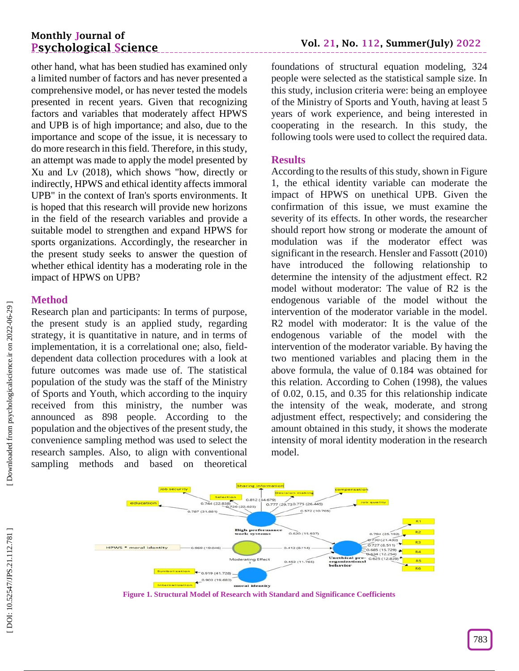other hand, what has been studied has examined only a limited number of factors and has never presented a comprehensive model, or has never tested the models presented in recent years. Given that recognizing factors and variables that moderately affect HPWS and UPB is of high importance; and also, due to the importance and scope of the issue, it is necessary to do more research in this field. Therefore, in this study, an attempt was made to apply the model presented by Xu and Lv (2018), which shows "how, directly or indirectly, HPWS and ethical identity affects immoral UPB" in the context of Iran's sports environments. It is hoped that this research will provide new horizons in the field of the research variables and provide a suitable model to strengthen and expand HPWS for sports organizations. Accordingly, the researcher in the present study seeks to answer the question of whether ethical identity has a moderating role in the impact of HPWS on UPB?

## **Method**

Research plan and participants: In terms of purpose, the present study is an applied study, regarding strategy, it is quantitative in nature, and in terms of implementation, it is a correlational one; also, field dependent data collection procedures with a look at future outcomes was made use of. The statistical population of the study was the staff of the Ministry of Sports and Youth, which according to the inquiry received from this ministry, the number was announced as 898 people. According to the population and the objectives of the present study, the convenience sampling method was used to select the research samples. Also, to align with conventional sampling methods and based on theoretical

foundations of structural equation modeling, 324 people were selected as the statistical sample size. In this study, inclusion criteria were: being an employee of the Ministry of Sports and Youth, having at least 5 years of work experience, and being interested in cooperating in the research. In this study, the following tools were used to collect the required data.

#### **Results**

According to the results of this study, shown in Figure 1, the ethical identity variable can moderate the impact of HPWS on unethical UPB. Given the confirmation of this issue, we must examine the severity of its effects. In other words, the researcher should report how strong or moderate the amount of modulation was if the moderator effect was significant in the research. Hensler and Fassott (2010) have introduced the following relationship to determine the intensity of the adjustment effect. R2 model without moderator: The value of R2 is the endogenous variable of the model without the intervention of the moderator variable in the model. R2 model with moderator: It is the value of the endogenous variable of the model with the intervention of the moderator variable. By having the two mentioned variables and placing them in the above formula, the value of 0.184 was obtained for this relation. According to Cohen (1998), the values of 0.02, 0.15, and 0.35 for this relationship indicate the intensity of the weak, moderate, and strong adjustment effect, respectively; and considering the amount obtained in this study, it shows the moderate intensity of moral identity moderation in the research model.



**Figure 1. Structural Model of Research with Standard and Significance Coefficients**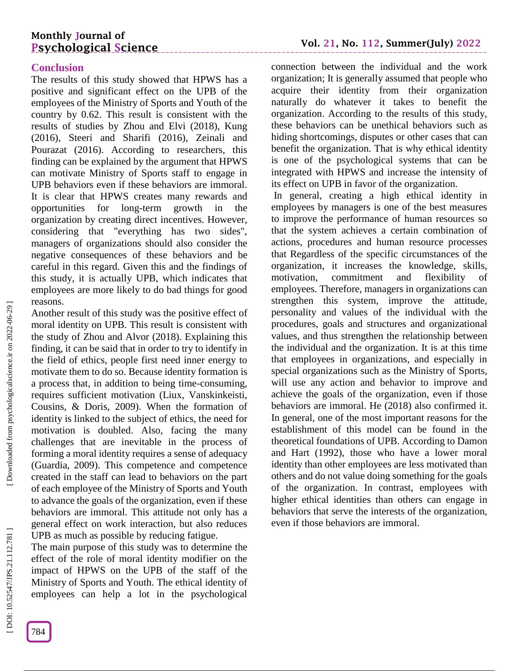#### **Conclusion**

The results of this study showed that HPWS has a positive and significant effect on the UPB of the employees of the Ministry of Sports and Youth of the country by 0.62. This result is consistent with the results of studies by Zhou and Elvi (2018), Kung (2016), Steeri and Sharifi (2016), Zeinali and Pourazat (2016). According to researchers, this finding can be explained by the argument that HPWS can motivate Ministry of Sports staff to engage in UPB behaviors even if these behaviors are immoral. It is clear that HPWS creates many rewards and opportunities for long -term growth in the organization by creating direct incentives. However, considering that "everything has two sides", managers of organizations should also consider the negative consequences of these behaviors and be careful in this regard. Given this and the findings of this study, it is actually UPB, which indicates that employees are more likely to do bad things for good reasons.

Another result of this study was the positive effect of moral identity on UPB. This result is consistent with the study of Zhou and Alvor (2018). Explaining this finding, it can be said that in order to try to identify in the field of ethics, people first need inner energy to motivate them to do so. Because identity formation is a process that, in addition to being time -consuming, requires sufficient motivation (Liux, Vanskinkeisti, Cousins, & Doris, 2009). When the formation of identity is linked to the subject of ethics, the need for motivation is doubled. Also, facing the many challenges that are inevitable in the process of forming a moral identity requires a sense of adequacy (Guardia, 2009). This competence and competence created in the staff can lead to behaviors on the part of each employee of the Ministry of Sports and Youth to advance the goals of the organization, even if these behaviors are immoral. This attitude not only has a general effect on work interaction, but also reduces UPB as much as possible by reducing fatigue.

The main purpose of this study was to determine the effect of the role of moral identity modifier on the impact of HPWS on the UPB of the staff of the Ministry of Sports and Youth. The ethical identity of employees can help a lot in the psychological **Vol. 21, No. 112, Summer(July) 202 2**

connection between the individual and the work organization; It is generally assumed that people who acquire their identity from their organization naturally do whatever it takes to benefit the organization. According to the results of this study, these behaviors can be unethical behaviors such as hiding shortcomings, disputes or other cases that can benefit the organization. That is why ethical identity is one of the psychological systems that can be integrated with HPWS and increase the intensity of its effect on UPB in favor of the organization.

In general, creating a high ethical identity in employees by managers is one of the best measures to improve the performance of human resources so that the system achieves a certain combination of actions, procedures and human resource processes that Regardless of the specific circumstances of the organization, it increases the knowledge, skills, motivation, commitment and flexibility of employees. Therefore, managers in organizations can strengthen this system, improve the attitude, personality and values of the individual with the procedures, goals and structures and organizational values, and thus strengthen the relationship between the individual and the organization. It is at this time that employees in organizations, and especially in special organizations such as the Ministry of Sports, will use any action and behavior to improve and achieve the goals of the organization, even if those behaviors are immoral. He (2018) also confirmed it. In general, one of the most important reasons for the establishment of this model can be found in the theoretical foundations of UPB. According to Damon and Hart (1992), those who have a lower moral identity than other employees are less motivated than others and do not value doing something for the goals of the organization. In contrast, employees with higher ethical identities than others can engage in behaviors that serve the interests of the organization, even if those behaviors are immoral.

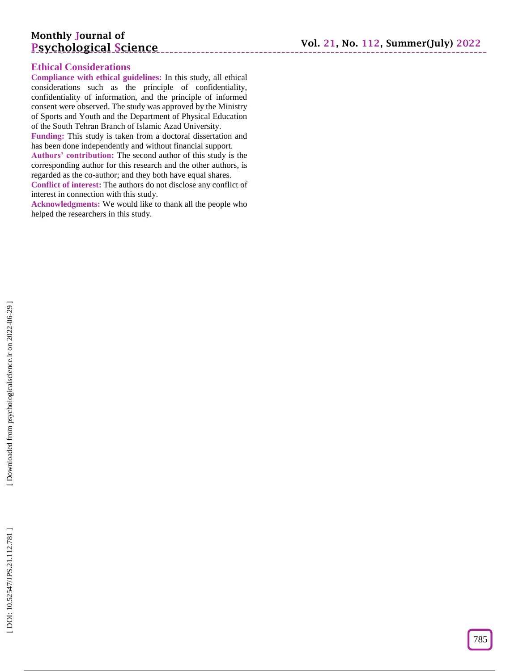#### **Ethical Considerations**

**Compliance with ethical guidelines:** In this study, all ethical considerations such as the principle of confidentiality, confidentiality of information, and the principle of informed consent were observed. The study was approved by the Ministry of Sports and Youth and the Department of Physical Education of the South Tehran Branch of Islamic Azad University.

**Funding:** This study is taken from a doctoral dissertation and has been done independently and without financial support. **Authors' contribution:** The second author of this study is the

corresponding author for this research and the other authors, is regarded as the co -author; and they both have equal shares.

**Conflict of interest:** The authors do not disclose any conflict of interest in connection with this study.

**Acknowledgments:** We would like to thank all the people who helped the researchers in this study.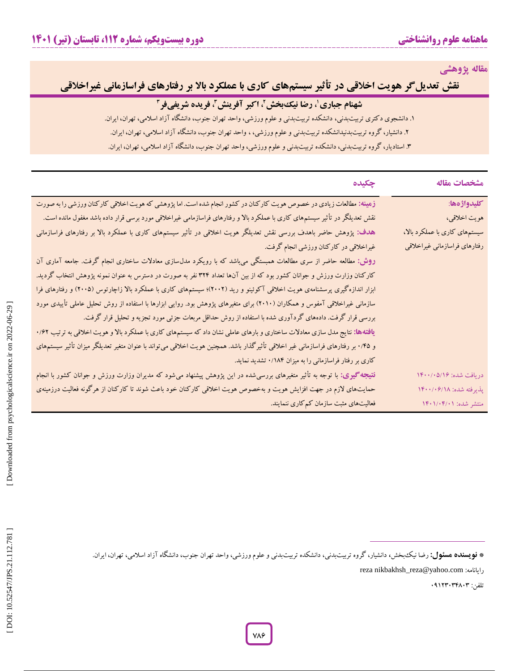**مقاله پژوهشی**

**نقش تعدیلگر هویت اخالقی در تأثیر سیستمهای کاری با عملکرد باال بر رفتارهای فراسازمانی غیراخالقی**

## **،<sup>۱</sup> رضا نیکبخش،<sup>۲</sup> اکبر آفرینش،<sup>۳</sup> فریده شریفی شهنام جباری فر ۳**

. دانشجوی دکتری تربیتبدنی، دانشکده تربیتبدنی و علوم ورزشی، واحد تهران جنوب، دانشگاه آزاد اسالمی، تهران، ایران. 1

۲. دانشیار، کروه تربیتبدنیدانشکده تربیتبدنی و علوم ورزشی، ، واحد تهران جنوب، دانشگاه آزاد اسلامی، تهران، ایران.

. استادیار، گروه تربیتبدنی، دانشکده تربیتبدنی و علوم ورزشی، واحد تهران جنوب، دانشگاه آزاد اسالمی، تهران، ایران. 3

| مشخصات مقاله                  | چکیده                                                                                                                                      |
|-------------------------------|--------------------------------------------------------------------------------------------------------------------------------------------|
| كليدواژهها:                   | زمینه: مطالعات زیادی در خصوص هویت کارکنان در کشور انجام شده است. اما پژوهشی که هویت اخلاقی کارکنان ورزشی را به صورت                        |
| هويت اخلاقي،                  | نقش تعدیلگر در تأثیر سیستمهای کاری با عملکرد بالا و رفتارهای فراسازمامی غیراخلاقی مورد برسی قرار داده باشد مغفول مانده است.                |
| سیستمهای کاری با عملکرد بالا، | هدف: پژوهش حاضر باهدف بررسی نقش تعدیلگر هویت اخلاقی در تأثیر سیستمهای کاری با عملکرد بالا بر رفتارهای فراسازمانی                           |
| رفتارهاى فراسازماني غيراخلاقي | غیراخلاقی در کارکنان ورزشی انجام گرفت.                                                                                                     |
|                               | <b>روش: مطالعه</b> حاضر از سری مطالعات همبستگی می <sub>ن</sub> اشد که با رویکرد مدلµسازی معادلات ساختاری انجام گرفت. جامعه آماری آن        |
|                               | کارکنان وزارت ورزش و جوانان کشور بود که از بین آنها تعداد ۳۲۴ نفر به صورت در دسترس به عنوان نمونه پژوهش انتخاب گردید.                      |
|                               | ابزار اندازهگیری پرسشنامهی هویت اخلاقی آکوئینو و رید (۲۰۰۲)؛ سیستمهای کاری با عملکرد بالا زاچارتوس (۲۰۰۵) و رفتارهای فرا                   |
|                               | سازمانی غیراخلاقی آمفوس و همکاران (۲۰۱۰) برای متغیرهای پژوهش بود. روایی ابزارها با استفاده از روش تحلیل عاملی تأییدی مورد                  |
|                               | بررسی قرار گرفت. دادههای گردآوری شده با استفاده از روش حداقل مربعات جزئی مورد تجزیه و تحلیل قرار گرفت.                                     |
|                               | ی <b>افتهها:</b> نتایج مدل سازی معادلات ساختاری و بارهای عاملی نشان داد که سیستمهای کاری با عملکرد بالا و هویت اخلاقی به ترتیب ۰/۶۲        |
|                               | و ۰/۴۵ بر رفتارهای فراسازمانی غیر اخلاقی تأثیرگذار باشد. همچنین هویت اخلاقی میتواند با عنوان متغیر تعدیلگر میزان تأثیر سیستمهای            |
|                               | کاری بر رفتار فراسازمانی را به میزان ۱۸۴/۰ تشدید نماید.                                                                                    |
| دريافت شده: ۱۴۰۰/۰۵/۱۶        | <mark>نتیجه <i>گ</i>یری: با توجه به تأثیر متغیرهای بررسی</mark> شده در این پژوهش پیشنهاد میشود که مدیران وزارت ورزش و جوانان کشور با انجام |
| پذیرفته شده: ۱۴۰۰/۰۶/۱۸       | حمایتهای لازم در جهت افزایش هویت و بهخصوص هویت اخلاقی کارکنان خود باعث شوند تا کارکنان از هرگونه فعالیت درزمینهی                           |
| منتشر شده: ۱۴۰۱/۰۴/۰۱         | فعالیتهای مثبت سازمان کم کاری ننمایند.                                                                                                     |

**نویسنده مسئول:** رضا نیکبخش**،** دانشیار، گروه تربیتبدنی، دانشکده تربیتبدنی و علوم ورزشی، واحد تهران جنوب، دانشگاه آزاد اسالمی، تهران، ایران. **\***

reza nikbakhsh\_reza@yahoo.com :رایانامه

تلفن: 0۰123030803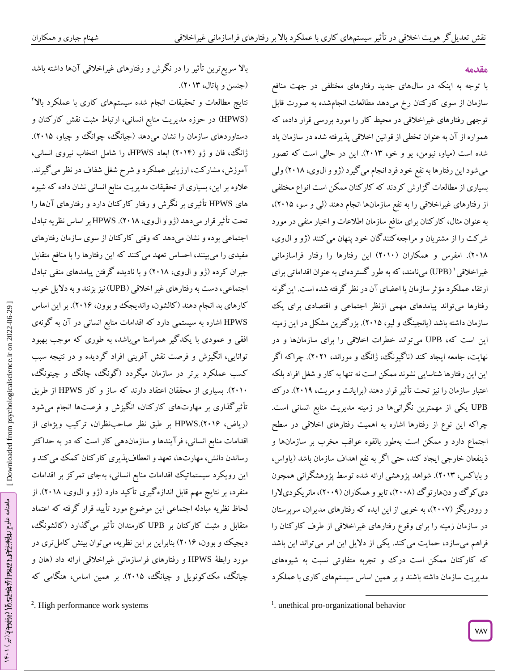بالا سریع ترین تاثیر را در نکرش و رفتارهای غیراخلاقی آنها داشته باشد

نتایج مطالعات و تحقیقات انجام شده سیستمهای کاری با عملکرد باال 2 در حوزه مدیریت منابع انسانی، ارتباط مثبت نقش کارکنان و )HPWS ( دستاوردهای سازمان را نشان میدهد )جیانگ، چوانگ و چیاو، 2015(. ژانگ، فان و ژو )2010( ابعاد HPWS، را شامل انتخاب نیروی انسانی،

آموزش، مشارکت، ارزیابی عملکرد و شرح شغل شفاف در نظر میگیرند.

علاوه بر این، بسیاری از تحقیقات مدیریت منابع انسانی نشان داده که شیوه های HPWS تأثیری بر نگرش و رفتار کارکنان دارد و رفتارهای آنها را

تحت تأثیرقرار میدهد )ژو و الوی، 2018(. HPWS بر اساس نظریه تبادل اجتماعی بوده و نشان میدهد که وقتی کارکنان از سوی سازمان رفتارهای

مفیدی را میبینند، احساس تعهد میکنند که این رفتارها را با منافع متقابل

جبران کرده (ژو و آل0وی، ۲۰۱۸) و با نادیده کرفتن پیامدهای منفی تبادل اجتماعی، دست به رفتارهای غیر اخلاقی (UPB) نیز بزنند و به دلایل خوب

کارهای بد انجام دهند (کالشون، واندیجک و بوون، ۲۰۱۶). بر این اساس<br>HPWS اشاره به سیستمی دارد که اقدامات منابع انسانی در آن به گونهی

افقی و عمودی با یکدگیر همراستا میباشد، به طوری که موجب بهبود توانایی، انگیزش و فرصت نقش آفرینی افراد گردیده و در نتیجه سبب

کسب عملکرد برتر در سازمان میکردد (کونگ، چانگ و چینونگ، 2010(. بسیاری از محققان اعتقاد دارند که ساز و کار HPWS از طریق تأثیرگذاری بر مهارتهای کارکنان، انگیزش و فرصتها انجام میشود

ریاض، 2017(.HPWS بر طبق نظر صاحبنظران، ترکیب ویژهای از (

اقدامات منابع انسانی، فرآیندها و سازماندهی کار است که در به حداکثر رساندن دانش، مهارتها، تعهد و انعطافپذیری کارکنان کمک میکند و این رویکرد سیستماتیک اقدامات منابع انسانی، بهجای تمرکز بر اقدامات

منفرد، بر نتایج مهم قابل اندازهگیری تأکید دارد )ژو و الوی، 2018(. از

لحاظ نظریه مبادله اجتماعی این موضوع مورد تایید قرار کرفته که اعتماد متقابل و مثبت کارکنان بر UPB کارمندان تأثیر میگذارد (کالشونگ،

دیجیک و بوون، ۲۰۱۶) بنابراین بر این نظریه، میتوان بینش کامل تری در مورد رابطهٔ HPWS و رفتارهای فراسازمانی غیراخلاقی ارائه داد (هان و

چیانگ، مک کونویل و چیانگ، ۲۰۱۵). بر همین اساس، هنگامی که

(جنسن و پاتال، ۲۰۱۳).

#### **مقدمه**

با توجه به اینکه در سالهای جدید رفتارهای مختلفی در جهت منافع سازمان از سوی کارکنان رخ میدهد مطالعات انجامشده به صورت قابل<br>توجهی رفتارهای غیراخلاقی در محیط کار را مورد بررسی قرار داده، که همواره از آن به عنوان تخطی از قوانین اخلاقی پدیرفته شده در سازمان یاد شده است )میاو، نیومن، یو و خو، 2013(. این در حالی است که تصور میشود این رفتارها به نفع خود فرد انجام می گیرد (ژو و ال5وی، ۲۰۱۸) ولی از مطالعات گزارش کردند که کارکنان ممکن است انواع مختلفی بسیاری از رفتارهای غیراخلاقی را به نفع سازمانها انجام دهند (لی و سو، ۲۰۱۵)، به عنوان مثال، کار کنان برای منافع سازمان اطلاعات و اخبار منفی در مورد شر کت را از مشتریان و مراجعه کنند کان خود پنهان می کنند (ژو و ال0وی، ۲۰۱۸). امفرس و همکاران (۲۰۱۰) این رفتارها را رفتار فراسازمانی ۲۰۱۸). امفرس و همکاران (۲۰۱۰) این رفتارها را رفتار فراسازمانی<br>غیراخلاقی'(UPB) میiامند، که به طور گستردهای به عنوان اقداماتی برای ار تقاء عملکرد مؤثر سازمان یا اعضای آن در نظر کرفته شده است. این کونه رفتارها می تواند پیامدهای مهمی ازنظر اجتماعی و اقتصادی برای یک سازمان داشته باشد )یانجینگ و لیو، 2015(. بزرگترین مشکل در این زمینه این است که، UPB میتواند خطرات اخلاقی را برای سازمانها و در نهایت، جامعه ایجاد کند (ناگیونگ، ژانگ و موراند، ۲۰۲۱). چراکه اگر این این رفتارها شناسایی نشوند ممکن است نه تنها به کار و شغل افراد بلکه اعتبار سازمان را نیز تحت تأثیر قرار دهند )برایانت و مریت، 201۰(. درک UPB یکی از مهمترین نگرانیها در زمینه مدیریت منابع انسانی است. چراکه این نوع از رفتارها اشاره به اهمیت رفتارهای اخلاقی در سطح<br>اجتماع دارد و ممکن است بهطور بالقوه عواقب مخرب بر سازمانها و ذینفعان خارجی ایجاد کند، حتی اگر به نفع اهداف سازمان باشد )یاواس، و باباکس، 2013(. شواهد پژوهشی ارائه شده توسط پژوهشگرانی همچون دی کوگ و دنهارتوگ (۲۰۰۸)، تایو و همکاران (۲۰۰۹)، مانریکودیلارا و رودریگز )2006(، به خوبی از این ایده که رفتارهای مدیران، سرپرستان در سازمان زمینه را برای وقوع رفتارهای غیراخالقی از طرف کارکنان را فراهم میسازد، حمایت می کند. یکی از دلایل این امر میتواند این باشد<br>که کارکنان ممکن است درک و تجربه متفاوتی نسبت به شیوههای سازمان داشته باشند و بر همین اساس سیستمهای کاری با عملکرد یت مدیر

 $\overline{\phantom{a}}$ 

<sup>&</sup>lt;sup>2</sup>. High performance work systems

<sup>&</sup>lt;sup>1</sup>. unethical pro-organizational behavior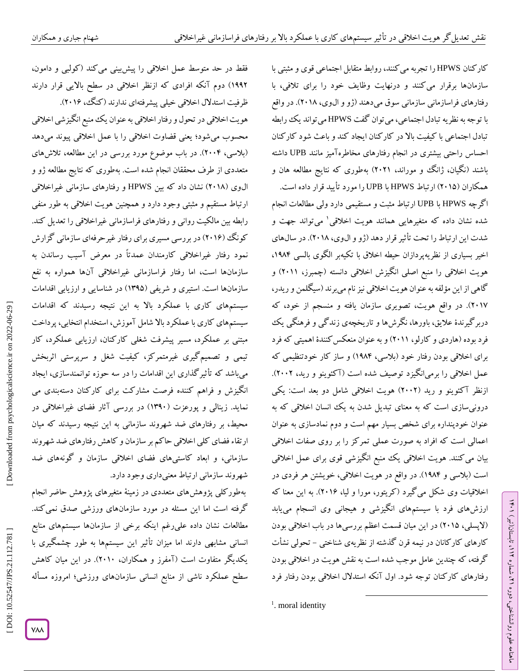کارکنان HPWS را تجربه میکنند، روابط متقابل اجتماعی قوی و مثبتی با سازمانها برقرار می کنند و درنهایت وظایف خود را برای تلافی، با رفتارهای فراسازمانی سازمانی سوق میدهند (ژو و ال9وی، ۲۰۱۸). در واقع با توجه به نظریه تبادل اجتماعی، میتوان گفت HPWS میتواند یک رابطه تبادل اجتماعی با کیفیت بالا در کار کنان ایجاد کند و باعث شود کار کنان احساس راحتی بیشتری در انجام رفتارهای مخاطرهآمیز مانند UPB داشته باشند (نگیان، ژانگ و موراند، ۲۰۲۱) بهطوری که نتایج مطالعه هان و همکاران )2015( ارتباط HPWS با UPB را مورد تأیید قرار داده است.

اگرچه HPWS با UPB ارتباط مثبت و مستقیمی دارد ولی مطالعات انجام شده نشان داده که متغیرهایی همانند هویت اخالقی 1 میتواند جهت و شدت این ارتباط را تحت تأثیر قرار دهد (ژو و ال0وی، ۲۰۱۸). در سال\$ای<br>اخیر بسیاری از نظریهپردازان حیطه اخلاق با تکیهبر الگوی بالسی ۱۹۸۴، هویت اخالقی را منبع اصلی انگیزش اخالقی دانسته )چمبرز، 2011( و گاهی از این مؤلفه به عنوان هویت اخلاقی نیز نام میبرند (سیگلمن و ریدر، 2016(. در واقع هویت، تصویری سازمان یافته و منسجم از خود، که دربرگیرندة عالیق، باورها، نگرشها و تاریخچهی زندگی و فرهنگی یک فرد بوده (هاردی و کارلو، ۲۰۱۱) و به عنوان منعکس کنندهٔ اهمیتی که فرد برای اخالقی بودن رفتار خود )بالسی، 1۰80( و ساز کار خودتنظیمی که عمل اخلاقی را برمیانگیزد توصیف شده است (اکئوینو و رید، ۲۰۰۲). ازنظر اکئوینو و رید (۲۰۰۲) هویت اخلاقی شامل دو بعد است: یکی درونی سازی است که به معنای تبدیل شدن به یک انسان اخلاقی که به عنوان خودپنداره برای شخص بسیار مهم است و دوم نمادسازی به عنوان اعمالی است که افراد به صورت عملی تمرکز را بر روی صفات اخالقی بیان میکنند. هویت اخالقی یک منبع انگیزشی قوی برای عمل اخالقی است )بالسی و 1۰80(. در واقع در هویت اخالقی، خویشتن هر فردی در اخلاقیات وی شکل می کیرد ( گریتور، مورا و لیا، ۲۰۱۶). به این معنا که ارزشهای فرد با سیستمهای انگیزشی و هیجانی وی انسجام مییابد (لاپسلی، ۲۰۱۵) در این میان قسمت اعظم بررسی۵ها در باب اخلاقی بودن کارهای کارکانان در نیمه قرن کذشته از نظریهی شناختی – تحولی نشات گرفته، که چندین عامل موجب شده است به نقش هویت در اخلاقی بودن رفتارهای کارکنان توجه شود. اول آنکه استدالل اخالقی بودن رفتار فرد

 $\overline{\phantom{a}}$ 

ラン

، تابستان)تیر( 112

، شماره 21

ماهنامه علوم روانشناختی، دوره

فقط در حد متوسط عمل اخلاقی را پیش بینی می کند ( کولبی و دامون، ۱۹۹۲) دوم آنکه افرادی که ازنظر اخلاقی در سطح بالایی قرار دارند ظرفیت استدلال اخلاقی خیلی پیشرفتهای ندارند ( کنگ، ۲۰۱۶). هویت اخلاقی در تحول و رفتار اخلاقی به عنوان یک منبع انگیزشی اخلاقی محسوب میشود؛ یعنی قضاوت اخلاقی را با عمل اخلاقی پیوند میدهد (بلاسی، ۲۰۰۴). در باب موضوع مورد بررسی در این مطالعه، تلاشهای متعددی از طرف محققان انجام شده است. بهطوری که نتایج مطالعه ژو و ال0وی (۲۰۱۸) نشان داد که بین HPWS و رفتارهای سازمانی غیراخلاقی ارتباط مستقیم و مثبتی وجود دارد و همچنین هویت اخالقی به طور منفی رابطه بین مالکیت روانی و رفتارهای فراسازمانی غیراخالقی را تعدیل کند. کونگ (۲۰۱۶) در بررسی مسیری برای رفتار غیرحرفهای سازمانی گزارش نمود رفتار غیراخلاقی کارمندان عمدتاً در معرض اسیب رساندن به سازمانها است، اما رفتار فراسازمانی غیراخالقی آنها همواره به نفع سازمانها است. استیری و شریفی )13۰5( در شناسایی و ارزیابی اقدامات سیستمهای کاری با عملکرد باال به این نتیجه رسیدند که اقدامات سیستمهای کاری با عملکرد باال شامل آموزش، استخدام انتخابی، پرداخت مبتنی بر عملکرد، مسیر پیشرفت شغلی کارکنان، ارزیابی عملکرد، کار تیمی و تصمیمگیری غیرمتمرکز، کیفیت شغل و سرپرستی اثربخش میباشد که تأثیرگذاری این اقدامات را در سه حوزه توانمندسازی، ایجاد انگیزش و فراهم کننده فرصت مشارکت برای کارکنان دستهبندی می نماید. زینالی و پورعزت )13۰0( در بررسی آثار فضای غیراخالقی در محیط، بر رفتارهای ضد شهروند سازمانی به این نتیجه رسیدند که میان ارتقاء فضای کلی اخالقی حاکم بر سازمان و کاهش رفتارهای ضد شهروند سازمانی، و ابعاد کاستیهای فضای اخالقی سازمان و گونههای ضد شهروند سازمانی ارتباط معنیداری وجود دارد.

بهطورکلی پژوهشهای متعددی در زمینة متغیرهای پژوهش حاضر انجام گرفته است اما این مسئله در مورد سازمانهای ورزشی صدق نمیکند. مطالعات نشان داده علیرغم اینکه برخی از سازمانها سیستمهای منابع انسانی مشابهی دارند اما میزان تأثیر این سیستمها به طور چشمگیری با یکدیگر متفاوت است )آمفرز و همکاران، 2010(. در این میان کاهش سطح عملکرد ناشی از منابع انسانی سازمانهای ورزشی؛ امروزه مسأله

<sup>&</sup>lt;sup>1</sup>. moral identity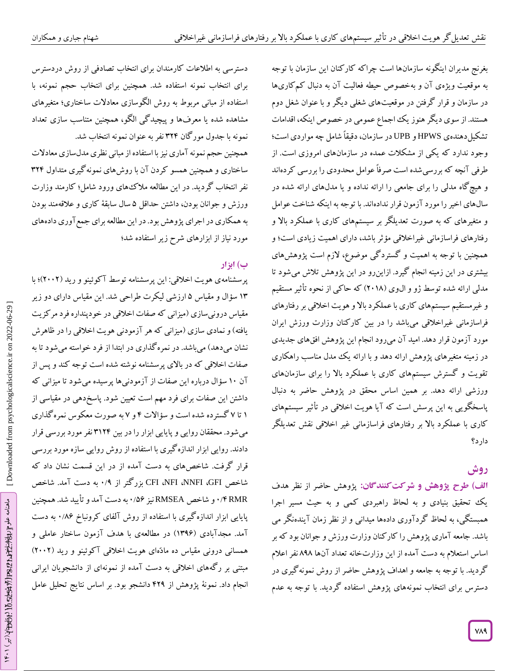بغرنج مدیران اینگونه سازمانها است چراکه کارکنان این سازمان با توجه به موقعیت ویژهی آن و بهخصوص حیطه فعالیت آن به دنبال کمکاریها در سازمان و قرار گرفتن در موقعیتهای شغلی دیگر و با عنوان شغل دوم هستند. از سوی دیگر هنوز یک اجماع عمومی در خصوص اینکه، اقدامات دهندهی HPWS و UPB در سازمان، دقیقاً شامل چه مواردی است؛ تشکیل وجود ندارد که یکی از مشکالت عمده در سازمانهای امروزی است. از طرفی آنچه که بررسیشده است صرفاً عوامل محدودی را بررسی کردهاند گاه مدلی را برای جامعی را ارائه نداده و یا مدلهای ارائه شده در و هیچ سالهای اخیر را مورد آزمون قرار ندادهاند. با توجه به اینکه شناخت عوامل و متغیرهای که به صورت تعدیلگر بر سیستمهای کاری با عملکرد باال و رفتارهای فراسازمانی غیراخالقی مؤثر باشد، دارای اهمیت زیادی است؛ و همچنین با توجه به اهمیت و گستردگی موضوع، الزم است پژوهشهای بیشتری در این زمینه انجام کیرد. ازاینرو در این پژوهش تلاش می شود تا مدلی ارائه شده توسط ژو و ال0وی (۲۰۱۸) که حاکی از نحوه تاثیر مستقیم و غیرمستقیم سیستمهای کاری با عملکرد بالا و هویت اخلاقی بر رفتارهای فراسازمانی غیراخالقی میباشد را در بین کارکنان وزارت ورزش ایران مورد آزمون قرار دهد. امید آن میرود انجام این پژوهش افقهای جدیدی در زمینه متغیرهای پژوهش ارائه دهد و با ارائه یک مدل مناسب راهکاری تقویت و گسترش سیستمهای کاری با عملکرد باال را برای سازمانهای ورزشی ارائه دهد. بر همین اساس محقق در پژوهش حاضر به دنبال پاسخگویی به این پرسش است که آیا هویت اخالقی در تأثیر سیستمهای کاری با عملکرد باال بر رفتارهای فراسازمانی غیر اخالقی نقش تعدیلگر دارد؟

# **روش**

الف) طرح پژوهش و شرکت *ک*نندگان: پژوهش حاضر از نظر هدف یک تحقیق بنیادی و به لحاظ راهبردی کمی و به حیث مسیر اجرا<br>همبستگی، به لحاظ گردآوری دادهها میدانی و از نظر زمان آیندهنگر می باشد. جامعه آماری پژوهش را کارکنان وزارت ورزش و جوانان بود که بر اساس استعالم به دست آمده از این وزارتخانه تعداد آنها 8۰8 نفر اعالم گردید. با توجه به جامعه و اهداف پژوهش حاضر از روش نمونهگیری در دسترس برای انتخاب نمونههای پژوهش استفاده گردید. با توجه به عدم

دسترسی به اطالعات کارمندان برای انتخاب تصادفی از روش دردسترس برای انتخاب نمونه استفاده شد. همچنین برای انتخاب حجم نمونه، با استفاده از مبانی مربوط به روش الگوسازی معادالت ساختاری؛ متغیرهای مشاهده شده یا معرفها و پیچیدگی الگو، همچنین متناسب سازی تعداد نمونه با جدول مورگان 320 نفر به عنوان نمونه انتخاب شد.

همچنین حجم نمونه آماری نیز با استفاده از مبانی نظری مدلسازی معادالت ساختاری و همچنین همسو کردن آن با روشهای نمونهگیری متداول 320 نفر انتخاب گردید. در این مطالعه مالکهای ورود شامل؛ کارمند وزارت ورزش و جوانان بودن، داشتن حداقل ۵ سال سابقة کاری و علاقهمند بودن به همکاری در اجرای پژوهش بود. در این مطالعه برای جمع آوری دادههای<br>مورد نیاز از ابزارهای شرح زیر استفاده شد؛

# **ب( ابزار**

پرسشنامهی هویت اخلاقی: این پرسشنامه توسط آکوئینو و رید (۲۰۰۲)؛ با ۱۳ سؤال و مقیاس ۵ ارزشی لیکرت طراحی شد. این مقیاس دارای دو زیر مقیاس درونی $\mathcal{C}$ رمیزانی که صفات اخلاقی در خودپنداره فرد مرکزیت یافته) و نمادی سازی (میزانی که هر آزمودنی هویت اخلاقی را در ظاهرش نشان میدهد) میباشد. در نمرهگذاری در ابتدا از فرد خواسته میشود تا به صفات اخالقی که در باالی پرسشنامه نوشته شده است توجه کند و پس از ال درباره این صفات از آزمودنیها پرسیده میشود تا میزانی که آن 10 سؤ داشتن این صفات برای فرد مهم است تعیین شود. پاسخدهی در مقیاسی از ۱ تا ۷ گسترده شده است و سؤالات ۴ و ۷ به صورت معکوس نمره کداری میشود. محققان روایی و پایایی ابزار را در بین 3120 نفر مورد بررسی قرار دادند. روایی ابزار اندازهگیری با استفاده از روش روایی سازه مورد بررسی قرار گرفت. شاخصهای به دست آمده از در این قسمت نشان داد که به دست آمد. شاخص 0 / ۰ از بزرگتر CFI ،NFI ،NNFI ،GFI شاخص به دست آمد و تأیید شد. همچنین 0 و شاخص RMSEA نیز /57 0 / 0 RMR پایایی ابزار اندازه کیری با استفاده از روش آلفای کرونباخ ۰/۸۶ به دست امد. مجدابادی (۱۳۹۶) در مطالعهی با هدف آزمون ساختار عاملی و همسانی درونی مقیاس ده مادّهای هویت اخلاقی آکوئینو و رید (۲۰۰۲) مبتنی بر رگههای اخالقی به دست آمده از نمونهای از دانشجویان ایرانی انجام داد. نمونة پژوهش از 02۰ دانشجو بود. بر اساس نتایج تحلیل عامل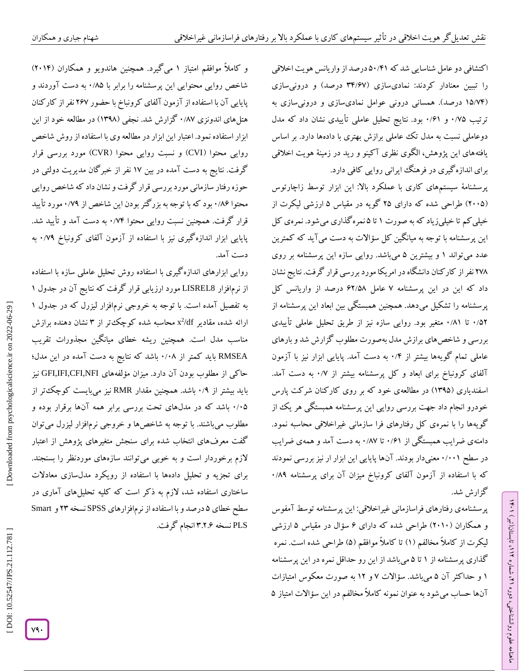ا کتشافی دو عامل شناسایی شد که ۵۰/۴۱ درصد از واریانس هویت اخلاقی را تببین معنادار کردند: نمادیسازی (۳۴/۶۷ درصد) و درونیسازی (۱۵/۷۴ درصد). همسانی درونی عوامل نمادیسازی و درونیسازی به ترتیب ۰/۷۵ و ۰/۶۱ بود. نتایج تحلیل عاملی تاییدی نشان داد که مدل دوعاملی نسبت به مدل تک عاملی برازش بهتری با دادهها دارد. بر اساس بافتههای این پژوهش، الگوی نظری آکینو و رید در زمینهٔ هویت اخلاقی<br>برای اندازهگیری در فرهنگ ایرانی روایی کافی دارد.

پرسشنامة سیستمهای کاری با عملکرد باال: این ابزار توسط زاچارتوس (۲۰۰۵) طراحی شده که دارای ۲۵ کویه در مقیاس ۵ ارزشی لیکرت از خیلی کم تا خیلیزیاد که به صورت ۱ تا ۵نمره کداری میشود. نمرهی کل این پرسشنامه با توجه به میانگین کل سؤاالت به دست میآید که کمترین عدد میتواند ۱ و بیشترین ۵ میباشد. روایی سازه این پرسشنامه بر روی 268 نفر از کارکنان دانشگاه در امریکا مورد بررسی قرار گرفت. نتایج نشان داد که این در این پرسشنامه ۷ عامل ۶۲/۵۸ درصد از واریانس کل پرسشنامه را تشکیل میدهد. همچنین همبستگی بین ابعاد این پرسشنامه از ۰/۵۲ تا ۰/۸۱ متغیر بود. روایی سازه نیز از طریق تحلیل عاملی تاییدی بررسی و شاخصهای برازش مدل بهصورت مطلوب گزارش شد و بارهای عاملی تمام کویهها بیشتر از ۰/۳ به دست امد. پایایی ابزار نیز با آزمون الفای کرونباخ برای ابعاد و کل پرسشنامه بیشتر از ۰/۷ به دست امد. اسفندیاری )13۰5( در مطالعهی خود که بر روی کارکنان شرکت پارس خودرو انجام داد جهت بررسی روایی این پرسشنامه همبستگی هر یک از گویهها را با نمرهی کل رفتارهای فرا سازمانی غیراخالقی محاسبه نمود. دامنهی ضرایب همبستگی از ۰/۶۱ تا ۰/۸۷ به دست آمد و همهی ضرایب در سطح ۰/۰۰۱ معنیدار بودند. آنها پایایی این ابزار ار نیز بررسی نمودند 0 که با استفاده از آزمون آلفای کرونباخ میزان آن برای پرسشنامه /8۰ گزارش شد.

پرسشنامهی رفتارهای فراسازمانی غیراخالقی: این پرسشنامه توسط آمفوس و همکاران (۲۰۱۰) طراحی شده که دارای ۶ سؤال در مقیاس ۵ ارزشی لیکرت از کاملاً مخالفم (۱) تا کاملاً موافقم (۵) طراحی شده است. نمره کداری پرسشنامه از ۱ تا ۵ میباشد از این رو حداقل نمره در این پرسشنامه ۱ و حداکثر آن ۵ میباشد. سؤالات ۷ و ۱۲ به صورت معکوس امتیازات انها حساب می شود به عنوان نمونه کاملاً مخالفم در این سؤالات امتیاز ۵

ラン

، تابستان)تیر( 112

، شماره 21

ماهنامه علوم روانشناختی، دوره

و کاملاً موافقم امتیاز ۱ می کیرد. همچنین هاندویو و همکاران (۲۰۱۴) شاخص روایی محتوایی این پرسشنامه را برابر با ۰/۸۵ به دست آوردند و پایایی آن با استفاده از آزمون آلفای کرونباخ با حضور 276 نفر از کارکنان هتلهای اندونزی ۰/۸۷ کزارش شد. نجفی (۱۳۹۸) در مطالعه خود از این ابزار استفاده نمود. اعتبار این ابزار در مطالعه وی با استفاده از روش شاخص روایی محتوا )CVI )و نسبت روایی محتوا )CVR )مورد بررسی قرار گرفت. نتایج به دست آمده در بین 16 نفر از خبرگان مدیریت دولتی در حوزه رفتار سازمانی مورد بررسی قرار گرفت و نشان داد که شاخص روایی محتوا ۱٬۸۶ بود که با توجه به بزر کتر بودن این شاخص از ۰٬۷۹ مورد تایید قرار کرفت. همچنین نسبت روایی محتوا ۰/۷۴ به دست آمد و تایید شد. پایایی ابزار اندازه کیری نیز با استفاده از آزمون آلفای کرونباخ ۰/۷۹ به دست آمد.

محاسبه شده کوچکتر از ۳ نشان دهنده برازش  $\rm x^2$ روایی ابزارهای اندازه گیری با استفاده روش تحلیل عاملی سازه با استفاده<br>از نرمافزار LISREL8 مورد ارزیابی قرار گرفت که نتایج آن در جدول ۱<br>به تفصیل آمده است. با توجه به خروجی نرمافزار لیزرل که در جدول ۱ مناسب مدل است. همچنین ریشه خطای میانگین مجذورات تقریب باشد که نتایج به دست آمده در این مدل؛ 0 RMSEA باید کمتر از /08 حاکی از مطلوب بودن آن دارد. میزان مؤلفههای NFI,CFI,IFI,GFI نیز باید بیشتر از ۰/۹ باشد. همچنین مقدار RMR نیز میبایست کوچک تر از ۰/۰۵ باشد که در مدلهای تحت بررسی برابر همه آنها برقرار بوده و مطلوب میباشند. با توجه به شاخصها و خروجی نرمافزار لیزرل میتوان گفت معرفهای انتخاب شده برای سنجش متغیرهای پژوهش از اعتبار الزم برخوردار است و به خوبی میتوانند سازههای موردنظر را بسنجند. برای تجزیه و تحلیل دادهها با استفاده از رویکرد مدلسازی معادلات ساختاری استفاده شد، لازم به دکر است که کلیه تحلیلهای آماری در SPSS نسخه 23 و Smart درصد و با استفاده از نرمافزارهای 5 سطح خطای PLS نسخه 3.2.7 انجام گرفت.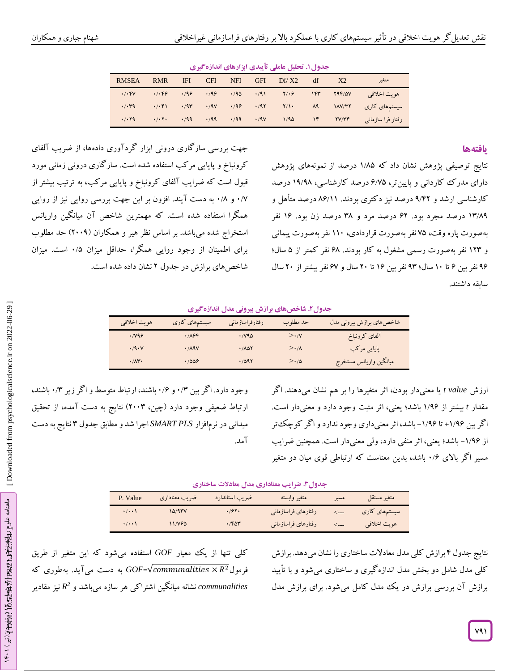| جدول ۱. تحلیل عاملی تاییدی ابزارهای اندازه کیری |                     |  |                                                                                                                                                                                                                                                                                                         |            |                                                 |            |            |                                                                                                                                                                                                                                                                                                                                                                                   |              |
|-------------------------------------------------|---------------------|--|---------------------------------------------------------------------------------------------------------------------------------------------------------------------------------------------------------------------------------------------------------------------------------------------------------|------------|-------------------------------------------------|------------|------------|-----------------------------------------------------------------------------------------------------------------------------------------------------------------------------------------------------------------------------------------------------------------------------------------------------------------------------------------------------------------------------------|--------------|
| متغير                                           | X <sub>2</sub>      |  | $Df/X2$ df                                                                                                                                                                                                                                                                                              | <b>GFI</b> | NFI –                                           | <b>CFI</b> | <b>IFI</b> | <b>RMR</b>                                                                                                                                                                                                                                                                                                                                                                        | <b>RMSEA</b> |
| هو يت اخلاقي                                    |                     |  | $\cdot$ /98 $\cdot$ /90 $\cdot$ /91 $\cdot$ /91 $\cdot$ /91 $\cdot$ /91 $\cdot$ /91 $\cdot$ /91 $\cdot$ /91 $\cdot$ /91 $\cdot$ /91 $\cdot$ /91 $\cdot$ /91 $\cdot$ /91 $\cdot$ /91 $\cdot$ /91 $\cdot$ /91 $\cdot$ /91 $\cdot$ /91 $\cdot$ /91 $\cdot$ /91 $\cdot$ /91 $\cdot$ /91 $\cdot$ /91 $\cdot$ |            |                                                 |            |            | $\cdot$ , $\cdot$ , $\cdot$ , $\cdot$ , $\cdot$ , $\cdot$ , $\cdot$ , $\cdot$ , $\cdot$ , $\cdot$ , $\cdot$ , $\cdot$ , $\cdot$ , $\cdot$ , $\cdot$ , $\cdot$ , $\cdot$ , $\cdot$ , $\cdot$ , $\cdot$ , $\cdot$ , $\cdot$ , $\cdot$ , $\cdot$ , $\cdot$ , $\cdot$ , $\cdot$ , $\cdot$ , $\cdot$ , $\cdot$ , $\cdot$ , $\cdot$ , $\cdot$ , $\cdot$ , $\cdot$ , $\cdot$ , $\cdot$ , | . / . FV     |
| سیستمهای کاری                                   |                     |  |                                                                                                                                                                                                                                                                                                         |            |                                                 |            |            |                                                                                                                                                                                                                                                                                                                                                                                   | .4.79        |
| رفتار فرا سازمانى                               | $1/90$ $1F$ $7V/7F$ |  |                                                                                                                                                                                                                                                                                                         |            | $\cdot$ /99 $\cdot$ /99 $\cdot$ /99 $\cdot$ /97 |            |            | $\cdot$ / $\cdot$ $\cdot$                                                                                                                                                                                                                                                                                                                                                         | .7.79        |

**ییدی ابزارهای اندازهگیری . تحلیل عاملی تأ جدول۱**

#### **یافتهها**

نتایج توصیفی پژوهش نشان داد که ۱/۸۵ درصد از نمونههای پژوهش دارای مدر ک کاردانی و پایینتر، ۶/۷۵ درصد کارشناسی، ۱۹/۹۸ درصد کارشناسی ارشد و ۹/۴۲ درصد نیز دکتری بودند. ۸۶/۱۱ درصد متأهل و ۱۳/۸۹ درصد مجرد بود. ۶۲ درصد مرد و ۳۸ درصد زن بود. ۱۶ نفر بهصورت پاره وقت، 65 نفر بهصورت قراردادی، 110 نفر بهصورت پیمانی و ۱۲۳ نفر بهصورت رسمی مشغول به کار بودند. ۶۸ نفر کمتر از ۵ سال؛ ۹۶ نفر بین ۶ تا ۱۰ سال؛ ۹۳ نفر بین ۱۶ تا ۲۰ سال و ۶۷ نفر بیشتر از ۲۰ سال سابقه داشتند.

جهت بررسی سازگاری درونی ابزار گردآوری دادهها، از ضریب آلفای کرونباخ و پایایی مرکب استفاده شده است. سازگاری درونی زمانی مورد قبول است که ضرایب آلفای کرونباخ و پایایی مرکب، به ترتیب بیشتر از ۰/۷ و ۰/۸ به دست آیند. افزون بر این جهت بررسی روایی نیز از روایی همگرا استفاده شده است. که مهمترین شاخص آن میانگین واریانس استخراج شده میباشد. بر اساس نظر هیر و همکاران (۲۰۰۹) حد مطلوب برای اطمینان از وجود روایی همگرا، حداقل میزان ۰/۵ است. میزان شاخصهای برازش در جدول ۲ نشان داده شده است.

#### **. شاخصهای برازش بیرونی مدل اندازهگیری جدول۲**

| هويت اخلاقي           | سیستمهای کاری   | رفتارفراسازماني       | حد مطلوب         | شاخصهاي برازش بيروني مدل |
|-----------------------|-----------------|-----------------------|------------------|--------------------------|
| $\cdot$ / $\sqrt{99}$ | .789            | $\cdot$ / $\sqrt{90}$ | $>\cdot$ /V      | آلفاى كرونباخ            |
| $\cdot$ /9 $\cdot$ V  | $\cdot$ /19 $V$ | .7007                 | $>\cdot/\Lambda$ | پایایی مرکب              |
| $\cdot/\Lambda$ r.    | .7009           | .7097                 | $>\cdot/\Delta$  | ميانگين واريانس مستخرج   |

ارزش *value t* یا معنیدار بودن، اثر متغیرها را بر هم نشان میدهند. اگر مقدار t بیشتر از ۱/۹۶ باشد؛ یعنی، اثر مثبت وجود دارد و معنیدار است. ا کر بین ۱/۹۶+ تا ۱/۹۶- باشد، اثر معنیداری وجود ندارد و آگر کوچک تر از ۱٬۹۶– باشد؛ یعنی، اثر منفی دارد، ولی معنیدار است. همچنین ضرایب مسیر اکر بالای ۰/۶ باشد، بدین معناست که ارتباطی قوی میان دو متغیر

وجود دارد. اکر بین ۰/۳ و ۰/۶ باشند، ارتباط متوسط و اکر زیر ۰/۳ باشند، ارتباط ضعیفی وجود دارد )چین، 2003( نتایج به دست آمده، از تحقیق میدان<sub>ی</sub> در نرم|فزار *SMART PLS اجر*ا شد و مطابق جدول ۳ نتایج به دست<br>آمد.

**ضرایب معناداری مدل معادالت ساختاری . جدول۳**

| P. Value           | ضريب معناداري | ضريب استاندارد | متغير وابسته        | مسير             | متغير مستقل   |
|--------------------|---------------|----------------|---------------------|------------------|---------------|
| $\cdot/\cdot\cdot$ | 10/9          | .797.          | رفتارهاى فراسازمانى |                  | سیستمهای کاری |
| $\cdot/\cdot\cdot$ | 11/196        | .760           | رفتارهاي فراسازماني | $\leftarrow$ --- | هويت اخلاقي   |

کلی تنها از یک معیار *GOF* استفاده میشود که این متغیر از طریق<br>فرمول<sup>72</sup>x *GOF=√communalities* × میآید. بهطوری که *communalities* نشانه میانگین اشتراکی هر سازه میباشد و *2* نیز مقادیر *R*

نتایج جدول ۴ برازش کلی مدل معادلات ساختاری را نشان میدهد. برازش کلی مدل شامل دو بخش مدل اندازهگیری و ساختاری میشود و با تأیید برازش آن بررسی برازش در یک مدل کامل میشود. برای برازش مدل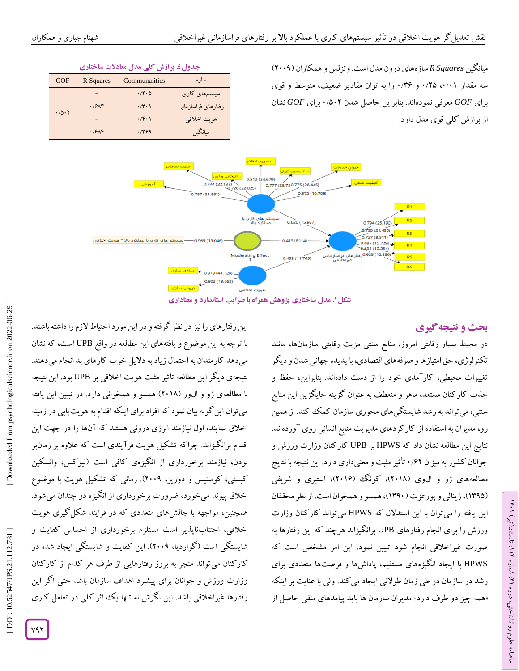| جدول ٤. برازش کلی مدل معادلات ساختاری |           |                            |                     |  |  |
|---------------------------------------|-----------|----------------------------|---------------------|--|--|
| GOF                                   | R Squares | Communalities              | ساز ه               |  |  |
|                                       |           | $\cdot$ /f $\cdot$ $\circ$ | سیستمهای کاری       |  |  |
| .70.7                                 | .79       | $\cdot$ /۲ $\cdot$ )       | رفتارهای فراسازمانی |  |  |
|                                       |           | $\cdot$ $/$ ۴۰۱            | هويت اخلاقي         |  |  |
|                                       | .79       | .799                       | مبانگين             |  |  |



**معناداری . مدل ساختاری پژوهش همراه با ضرایب استاندارد و شکل۱**

# **ی نتیجهگیر بحث و**

ラン

، تابستان)تیر( 112

، شماره 21

ماهنامه علوم روانشناختی، دوره

در محیط بسیار رقابتی امروز، منابع سنتی مزیت رقابتی سازمانها، مانند تکنولوژی، حق امتیازها و صرفههای اقتصادی، با پدیده جهانی شدن و دیگر تغییرات محیطی، کارآمدی خود را از دست دادهاند. بنابراین، حفظ و جذب کارکنان مستعد، ماهر و منعطف به عنوان گزینه جایگزین این منابع سنتی، می تواند به رشد شایستگی های محوری سازمان کمک کند. از همین<br>رو، مدیران به استفاده از کارکردهای مدیریت منابع انسانی روی آوردهاند. نتایج این مطالعه نشان داد که HPWS بر UPB کارکنان وزارت ورزش و جوانان کشور به میزان ۰/۶۲ تاثیر مثبت و معنیداری دارد. این نتیجه با نتایج مطالعههای ژو و ال0وی (۲۰۱۸)، کونک (۲۰۱۶)، استیری و شریفی (۱۳۹۵)، زینالی و پورعزت (۱۳۹۰)، همسو و همخوان است. از نظر محققان این یافته را میتوان با این استدالل که HPWS میتواند کارکنان وزارت ورزش را برای انجام رفتارهای UPB برانگیزاند هرچند که این رفتارها به صورت غیراخلاقی انجام شود تبیین نمود. این امر مشخص است که<br>HPWS با ایجاد انگیزههای مستقیم، پاداشها و فرصتها متعددی برای رشد در سازمان در طی زمان طولانی ایجاد می کند. ولی با عنایت بر اینکه «همه چیز دو طرف دارد» مدیران سازمان ها باید پیامدهای منفی حاصل از

این رفتارهای را نیز در نظر گرفته و در این مورد احتیاط الزم را داشته باشند. با توجه به این موضوع و یافتههای این مطالعه در واقع UPB است، که نشان میدهد کارمندان به احتمال زیاد به دلایل خوب کارهای بد انجام میدهند. نتیجهی دیگر این مطالعه تأثیر مثبت هویت اخالقی بر UPB بود. این نتیجه با مطالعهی ژو و الور )2018( همسو و همخوانی دارد. در تبیین این یافته میتوان اینگونه بیان نمود که افراد برای اینکه اقدام به هویتیابی در زمینه اخالق نمایند، اول نیازمند انرژی درونی هستند که آنها را در جهت این اقدام برانگیزاند. چراکه تشکیل هویت فرآیندی است که عالوه بر زمانبر بودن، نیازمند برخورداری از انگیزهی کافی است )لیوکس، وانسکین کیستی، کوسنیس و دوریز، ۲۰۰۹). زمانی که تشکیل هویت با موضوع اخالق پیوند میخورد، ضرورت برخورداری از انگیزه دو چندان میشود. همچنین، مواجهه با چالشهای متعددی که در فرایند شکلگیری هویت اخالقی، اجتنابناپذیر است مستلزم برخورداری از احساس کفایت و شایستگی است )گواردیا، 200۰(. این کفایت و شایستگی ایجاد شده در کارکنان میتواند منجر به بروز رفتارهایی از طرف هر کدام از کارکنان وزارت ورزش و جوانان برای پیشبرد اهداف سازمان باشد حتی اگر این رفتارها غیراخالقی باشد. این نگرش نه تنها یک اثر کلی در تعامل کاری

DOI: 10.52547/JPS.21.112.781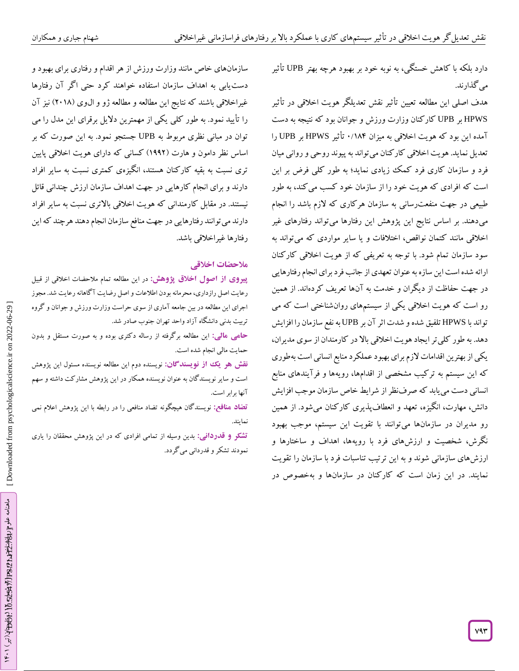دارد بلکه با کاهش خستگی، به نوبه خود بر بهبود هرچه بهتر UPB تأثیر میگذارند.

هدف اصلی این مطالعه تعیین تأثیر نقش تعدیلگر هویت اخالقی در تأثیر HPWS بر UPB کارکنان وزارت ورزش و جوانان بود که نتیجه به دست آمده این بود که هویت اخلاقی به میزان ۱۸۴/۰ تأثیر HPWS بر UPB را تعدیل نماید.هویت اخالقی کارکنان میتواند به پیوند روحی و روانی میان فرد و سازمان کاری فرد کمک زیادی نماید؛ به طور کلی فرض بر این است که افرادی که هویت خود را از سازمان خود کسب میکند، به طور طبیعی در جهت منفعترسانی به سازمان هرکاری که الزم باشد را انجام میدهند. بر اساس نتایج این پژوهش این رفتارها میتواند رفتارهای غیر اخالقی مانند کتمان نواقص، اختالفات و یا سایر مواردی که میتواند به سود سازمان تمام شود. با توجه به تعریفی که از هویت اخالقی کارکنان ارائه شده است این سازه به عنوان تعهدی از جانب فرد برای انجام رفتارهایی در جهت حفاظت از دیگران و خدمت به آنها تعریف گردهاند. از همین رو است که هویت اخالقی یکی از سیستمهای روانشناختی است که می تواند با HPWS تلفیق شده و شدت اثر آن بر UPB به نفع سازمان را افزایش<br>دهد. به طور کلی تر ایجاد هویت اخلاقی بالا در کارمندان از سوی مدیران،<br>یکی از بهترین اقدامات لازم برای بهبود عملکرد منابع انسانی است بهطوری که این سیستم به ترکیب مشخصی از اقدامها، رویهها و فرآیندهای منابع انسانی دست مییابد که صرفنظر از شرایط خاص سازمان موجب افزایش دانش، مهارت، انگیزه، تعهد و انعطافپدیری کار کنان میشود. از همین رو مدیران در سازمانها میتوانند با تقویت این سیستم، موجب بهبود نگرش، شخصیت و ارزشهای فرد با رویهها، اهداف و ساختارها و ارزشهای سازمانی شوند و به این ترتیب تناسبات فرد با سازمان را تقویت نمایند. در این زمان است که کارکنان در سازمانها و بهخصوص در

سازمانهای خاص مانند وزارت ورزش از هر اقدام و رفتاری برای بهبود و دستیابی به اهداف سازمان استفاده خواهند کرد حتی اگر آن رفتارها غیراخلاقی باشند که نتایج این مطالعه و مطالعه ژو و ال0وی (۲۰۱۸) نیز آن را تأیید نمود. به طور کلی یکی از مهمترین دالیل برقرای این مدل را می توان در مبانی نظری مربوط به UPB جستجو نمود. به این صورت که بر اساس نظر دامون و هارت )1۰۰2( کسانی که دارای هویت اخالقی پایین تری نسبت به بقیه کارکنان هستند، انگیزهی کمتری نسبت به سایر افراد دارند و برای انجام کارهایی در جهت اهداف سازمان ارزش چندانی قائل نیستند. در مقابل کارمندانی که هویت اخالقی باالتری نسبت به سایر افراد دارند میتوانند رفتارهایی در جهت منافع سازمان انجام دهند هرچند که این رفتارها غیراخلاقی باش*د.*<br>ملا**حضات اخ**لاق<sub>ی</sub>

**پیروی از اصول اخلاق پژوهش:** در این مطالعه تمام ملاحضات اخلاقی از قبیل رعایت اصل رازداری، محرمانه بودن اطالعات و اصل رضایت آگاهانه رعایت شد. مجوز اجرای این مطالعه در بین جامعه آماری از سوی حراست وزارت ورزش و جوانان و گروه تربیت بدنی دانشگاه آزاد واحد تهران جنوب صادر شد.

این مطالعه برگرفته از رساله دکتری بوده و به صورت مستقل و بدون **: مالی حامی** حمایت مالی انجام شده است.

<mark>نقش هو یک از نویسندگان:</mark> نویسنده دوم این مطالعه نویسنده مسئول این پژوهش است و سایر نویسندگان به عنوان نویسنده همکار در این پژوهش مشارکت داشته و سهم نها برابر است. آ

نویسندگان هیچگونه تضاد منافعی را در رابطه با این پژوهش اعالم نمی **تضاد منافع:** نمایند.

بدین وسیله از تمامی افرادی که در این پژوهش محققان را یاری **: قدردانی تشکر و** نمودند تشکر و قدردانی میگردد.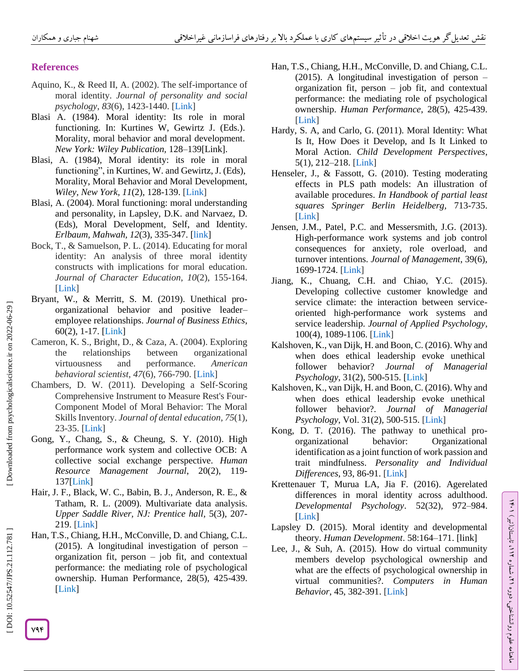### **References**

- Aquino, K., & Reed II, A. (2002). The self -importance of moral identity. *Journal of personality and social psychology*, *83*(6), 1423 -1440. [\[Link](https://doi.org/10.1037/0022-3514.83.6.1423) ]
- Blasi A. (1984). Moral identity: Its role in moral functioning. In: Kurtines W, Gewirtz J. (Eds.). Morality, moral behavior and moral development. *New York: Wiley Publication,* 128 –139 [\[Link\]](https://doi.org/10.1037/0022-3514.83.6.1423).
- Blasi, A. (1984), Moral identity: its role in moral functioning", in Kurtines, W. and Gewirtz, J. (Eds), Morality, Moral Behavior and Moral Development, Wiley, New York, 11(2), 128-139. [\[Link](https://doi.org/10.1159/000435926)]
- Blasi, A. (2004). Moral functioning: moral understanding and personality, in Lapsley, D.K. and Narvaez, D. (Eds), Moral Development, Self, and Identity. *Erlbaum, Mahwah, 12*(3), 335 -347. [\[link](https://doi.org/10.1186/s41155-019-0120-9) ]
- Bock, T., & Samuelson, P. L. (2014). Educating for moral identity: An analysis of three moral identity constructs with implications for moral education. *Journal of Character Education*, *10*(2), 155 -164. [\[Link](https://books.google.com/books?hl=en&lr=&id=egYoDwAAQBAJ&oi=fnd&pg=PA155&dq=Bock,+T.,+%26+Samuelson,+P.+L.+\(2014\).+Educating+for+moral+identity:+An+analysis+of+three+moral+identity+constructs+with+implications+for+moral+education.+Journal+of+Character+Education,+10\(2\),+155-164&ots=dNzBbKV4BO&sig=1a8GD0-f_p03Px5hqVgmZrdrzFA#v=onepage&q&f=false) ]
- Bryant, W., & Merritt, S. M. (2019). Unethical pro organizational behavior and positive leader – employee relationships. *Journal of Business Ethics*, 60(2), 1 -17. [\[Link](https://link.springer.com/article/10.1007%2Fs10551-019-04211-x) ]
- Cameron, K. S., Bright, D., & Caza, A. (2004). Exploring the relationships between organizational virtuousness and performance. *American behavioral scientist*, *47*(6), 766 -790. [\[Link](https://journals.sagepub.com/doi/abs/10.1177/0002764203260207) ]
- Chambers, D. W. (2011). Developing a Self ‐Scoring Comprehensive Instrument to Measure Rest's Four ‐ Component Model of Moral Behavior: The Moral Skills Inventory. *Journal of dental education, 75*(1), 23 -35. [\[Link](https://doi.org/10.1002/j.0022-0337.2011.75.1.tb05019.x) ]
- Gong, Y., Chang, S., & Cheung, S. Y. (2010). High performance work system and collective OCB: A collective social exchange perspective. *Human Resource Management Journal*, 20(2), 119 - 137[\[Link](https://doi.org/10.1111/j.1748-8583.2010.00123.x) ]
- Hair, J. F., Black, W. C., Babin, B. J., Anderson, R. E., & Tatham, R. L. (2009). Multivariate data analysis. *Upper Saddle River, NJ: Prentice hall*, 5(3), 207 - 219. [\[Link](https://scirp.org/reference/referencespapers.aspx?referenceid=2123550) ]
- Han, T.S., Chiang, H.H., McConville, D. and Chiang, C.L. (2015). A longitudinal investigation of person – organization fit, person – job fit, and contextual performance: the mediating role of psychological ownership. Human Performance, 28(5), 425 -439. [\[Link](https://doi.org/10.1080/08959285.2015.1021048) ]
- Han, T.S., Chiang, H.H., McConville, D. and Chiang, C.L. (2015). A longitudinal investigation of person – organization fit, person – job fit, and contextual performance: the mediating role of psychological ownership. *Human Performance*, 28(5), 425 -439. [\[Link](https://doi.org/10.1080/08959285.2015.1021048) ]
- Hardy, S. A, and Carlo, G. (2011). Moral Identity: What Is It, How Does it Develop, and Is It Linked to Moral Action. *Child Development Perspectives*, 5(1), 212 –218. [\[Link](https://doi.org/10.1111/j.1750-8606.2011.00189.x) ]
- Henseler, J., & Fassott, G. (2010). Testing moderating effects in PLS path models: An illustration of available procedures. *In Handbook of partial least squares Springer Berlin Heidelberg,* 713 -735. [\[Link](https://link.springer.com/chapter/10.1007/978-3-540-32827-8_31) ]
- Jensen, J.M., Patel, P.C. and Messersmith, J.G. (2013). High -performance work systems and job control consequences for anxiety, role overload, and turnover intentions. *Journal of Management*, 39(6), 1699-1724. [\[Link](https://doi.org/10.1177/0149206311419663)]
- Jiang, K., Chuang, C.H. and Chiao, Y.C. (2015). Developing collective customer knowledge and service climate: the interaction between service oriented high -performance work systems and service leadership. *Journal of Applied Psychology*, 100(4), 1089 -1106. [\[Link](https://psycnet.apa.org/record/2014-54492-001) ]
- Kalshoven, K., van Dijk, H. and Boon, C. (2016). Why and when does ethical leadership evoke unethical follower behavior? *Journal of Managerial*  Psychology, 31(2), 500-515. [\[Link](https://www.emerald.com/insight/content/doi/10.1108/JMP-10-2014-0314/full/html)]
- Kalshoven, K., van Dijk, H. and Boon, C. (2016). Why and when does ethical leadership evoke unethical follower behavior?. *Journal of Managerial Psychology*, Vol. 31(2), 500 -515. [\[Link](https://doi.org/10.1108/JMP-10-2014-0314) ]
- Kong, D. T. (2016). The pathway to unethical pro organizational behavior: Organizational identification as a joint function of work passion and trait mindfulness. *Personality and Individual*  Differences, 93, 86-91. [\[Link](https://doi.org/10.1016/j.paid.2015.08.035)]
- Krettenauer T, Murua LA, Jia F. (2016). Agerelated differences in moral identity across adulthood. *Developmental Psychology*. 52(32), 972 –984. [\[Link](https://psycnet.apa.org/doiLanding?doi=10.1037%2Fdev0000127) ]
- Lapsley D. (2015). Moral identity and developmental theory. *Human Development*. 58:164 –171. [\[link](https://www.karger.com/Article/Abstract/435926) ]
- Lee, J., & Suh, A. (2015). How do virtual community members develop psychological ownership and what are the effects of psychological ownership in virtual communities?. *Computers in Human Behavior*, 45, 382 -391. [\[Link](https://doi.org/10.1016/j.chb.2014.12.002) ]

DOI: 10.52547/JPS.21.112.781]

ラン

، تابستان)تیر( 112

، شماره 21

ماهنامه علوم روانشناختی، دوره